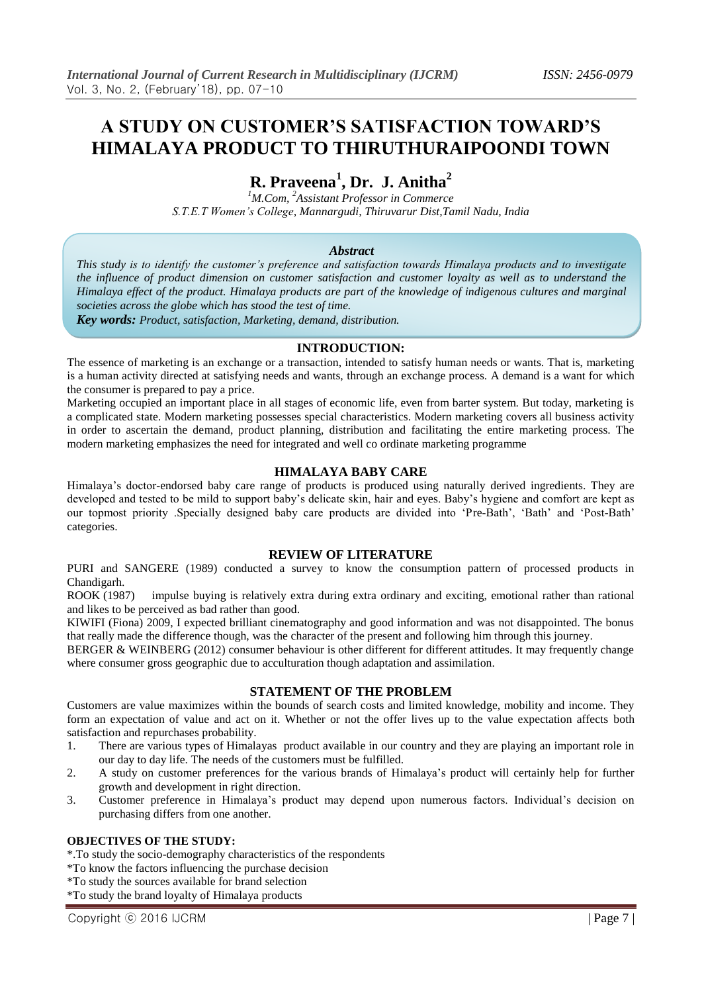# **A STUDY ON CUSTOMER'S SATISFACTION TOWARD'S HIMALAYA PRODUCT TO THIRUTHURAIPOONDI TOWN**

# **R. Praveena<sup>1</sup> , Dr. J. Anitha<sup>2</sup>**

*<sup>1</sup>M.Com, <sup>2</sup>Assistant Professor in Commerce S.T.E.T Women's College, Mannargudi, Thiruvarur Dist,Tamil Nadu, India*

# *Abstract*

*This study is to identify the customer's preference and satisfaction towards Himalaya products and to investigate the influence of product dimension on customer satisfaction and customer loyalty as well as to understand the Himalaya effect of the product. Himalaya products are part of the knowledge of indigenous cultures and marginal societies across the globe which has stood the test of time.*

*Key words: Product, satisfaction, Marketing, demand, distribution.*

#### **INTRODUCTION:**

The essence of marketing is an exchange or a transaction, intended to satisfy human needs or wants. That is, marketing is a human activity directed at satisfying needs and wants, through an exchange process. A demand is a want for which the consumer is prepared to pay a price.

Marketing occupied an important place in all stages of economic life, even from barter system. But today, marketing is a complicated state. Modern marketing possesses special characteristics. Modern marketing covers all business activity in order to ascertain the demand, product planning, distribution and facilitating the entire marketing process. The modern marketing emphasizes the need for integrated and well co ordinate marketing programme

# **HIMALAYA BABY CARE**

Himalaya's doctor-endorsed baby care range of products is produced using naturally derived ingredients. They are developed and tested to be mild to support baby's delicate skin, hair and eyes. Baby's hygiene and comfort are kept as our topmost priority .Specially designed baby care products are divided into 'Pre-Bath', 'Bath' and 'Post-Bath' categories.

# **REVIEW OF LITERATURE**

PURI and SANGERE (1989) conducted a survey to know the consumption pattern of processed products in Chandigarh.

ROOK (1987) impulse buying is relatively extra during extra ordinary and exciting, emotional rather than rational and likes to be perceived as bad rather than good.

KIWIFI (Fiona) 2009, I expected brilliant cinematography and good information and was not disappointed. The bonus that really made the difference though, was the character of the present and following him through this journey.

BERGER & WEINBERG (2012) consumer behaviour is other different for different attitudes. It may frequently change where consumer gross geographic due to acculturation though adaptation and assimilation.

# **STATEMENT OF THE PROBLEM**

Customers are value maximizes within the bounds of search costs and limited knowledge, mobility and income. They form an expectation of value and act on it. Whether or not the offer lives up to the value expectation affects both satisfaction and repurchases probability.

- 1. There are various types of Himalayas product available in our country and they are playing an important role in our day to day life. The needs of the customers must be fulfilled.
- 2. A study on customer preferences for the various brands of Himalaya's product will certainly help for further growth and development in right direction.
- 3. Customer preference in Himalaya's product may depend upon numerous factors. Individual's decision on purchasing differs from one another.

#### **OBJECTIVES OF THE STUDY:**

\*.To study the socio-demography characteristics of the respondents

\*To know the factors influencing the purchase decision

\*To study the sources available for brand selection

\*To study the brand loyalty of Himalaya products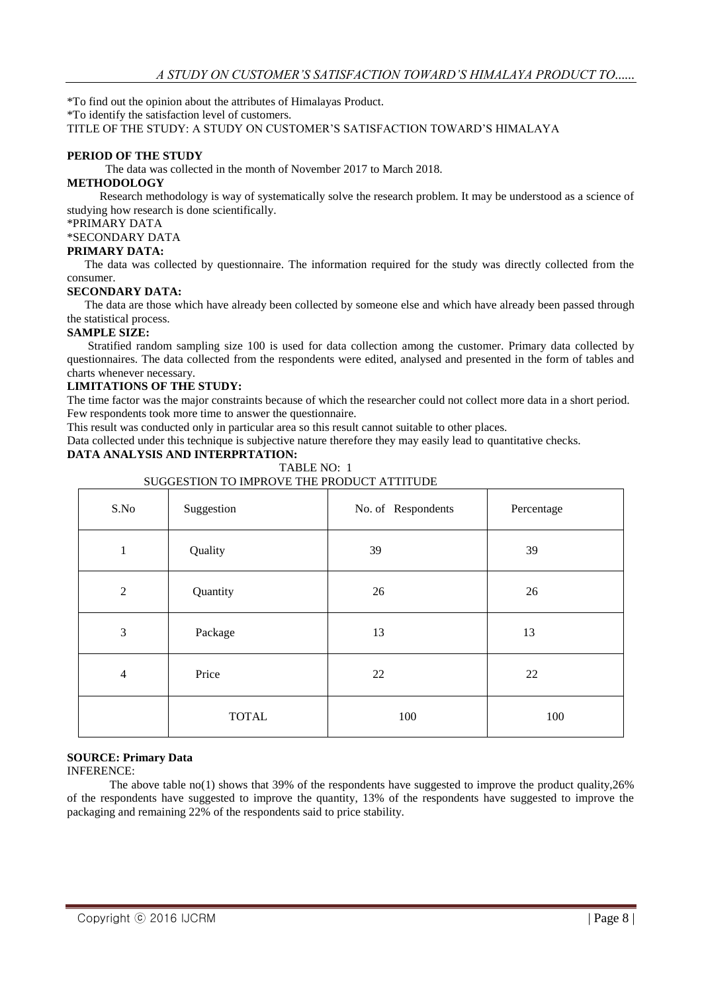\*To find out the opinion about the attributes of Himalayas Product.

\*To identify the satisfaction level of customers.

TITLE OF THE STUDY: A STUDY ON CUSTOMER'S SATISFACTION TOWARD'S HIMALAYA

#### **PERIOD OF THE STUDY**

The data was collected in the month of November 2017 to March 2018.

#### **METHODOLOGY**

 Research methodology is way of systematically solve the research problem. It may be understood as a science of studying how research is done scientifically.

\*PRIMARY DATA

\*SECONDARY DATA

# **PRIMARY DATA:**

 The data was collected by questionnaire. The information required for the study was directly collected from the consumer.

#### **SECONDARY DATA:**

 The data are those which have already been collected by someone else and which have already been passed through the statistical process.

#### **SAMPLE SIZE:**

 Stratified random sampling size 100 is used for data collection among the customer. Primary data collected by questionnaires. The data collected from the respondents were edited, analysed and presented in the form of tables and charts whenever necessary.

#### **LIMITATIONS OF THE STUDY:**

The time factor was the major constraints because of which the researcher could not collect more data in a short period. Few respondents took more time to answer the questionnaire.

This result was conducted only in particular area so this result cannot suitable to other places.

Data collected under this technique is subjective nature therefore they may easily lead to quantitative checks.

# **DATA ANALYSIS AND INTERPRTATION:**

#### TABLE NO: 1 SUGGESTION TO IMPROVE THE PRODUCT ATTITUDE

| S.No           | Suggestion   | No. of Respondents | Percentage |
|----------------|--------------|--------------------|------------|
| 1              | Quality      | 39                 | 39         |
| $\sqrt{2}$     | Quantity     | 26                 | 26         |
| $\mathfrak{Z}$ | Package      | 13                 | 13         |
| $\overline{4}$ | Price        | 22                 | 22         |
|                | <b>TOTAL</b> | 100                | 100        |

# **SOURCE: Primary Data**

INFERENCE:

The above table no(1) shows that 39% of the respondents have suggested to improve the product quality,26% of the respondents have suggested to improve the quantity, 13% of the respondents have suggested to improve the packaging and remaining 22% of the respondents said to price stability.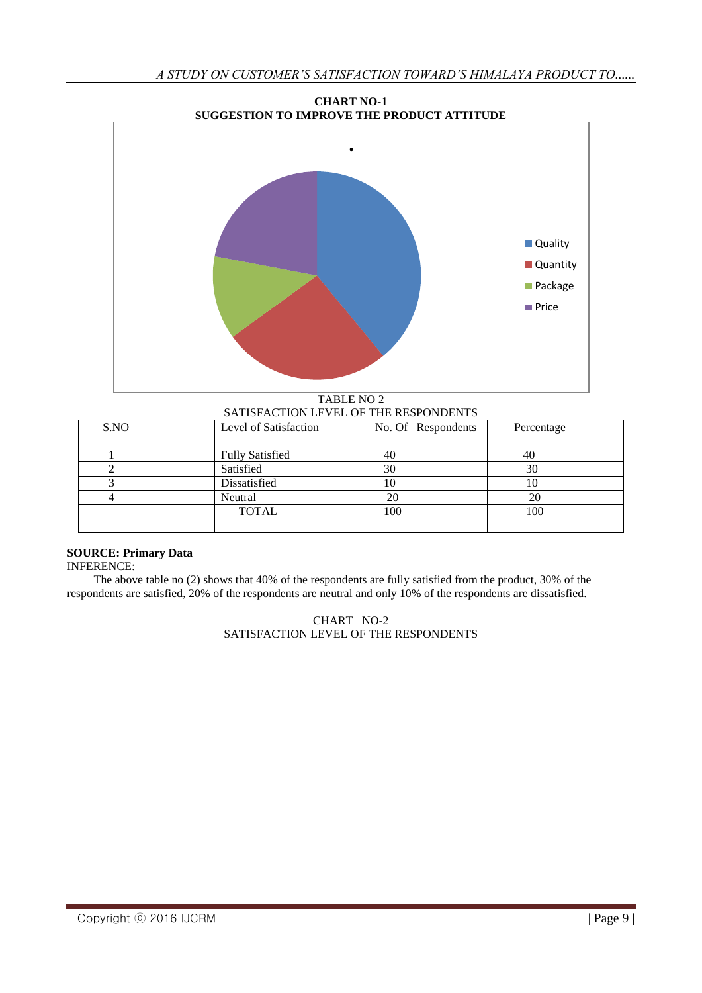

TABLE NO 2 SATISFACTION LEVEL OF THE RESPONDENTS

| S.NO | Level of Satisfaction  | No. Of Respondents | Percentage |
|------|------------------------|--------------------|------------|
|      | <b>Fully Satisfied</b> |                    | 40         |
|      | Satisfied              | 30                 | 30         |
|      | Dissatisfied           |                    | 10         |
|      | Neutral                |                    | 20         |
|      | <b>TOTAL</b>           | 100                | 100        |
|      |                        |                    |            |

# **SOURCE: Primary Data**

INFERENCE:

 The above table no (2) shows that 40% of the respondents are fully satisfied from the product, 30% of the respondents are satisfied, 20% of the respondents are neutral and only 10% of the respondents are dissatisfied.

> CHART NO-2 SATISFACTION LEVEL OF THE RESPONDENTS